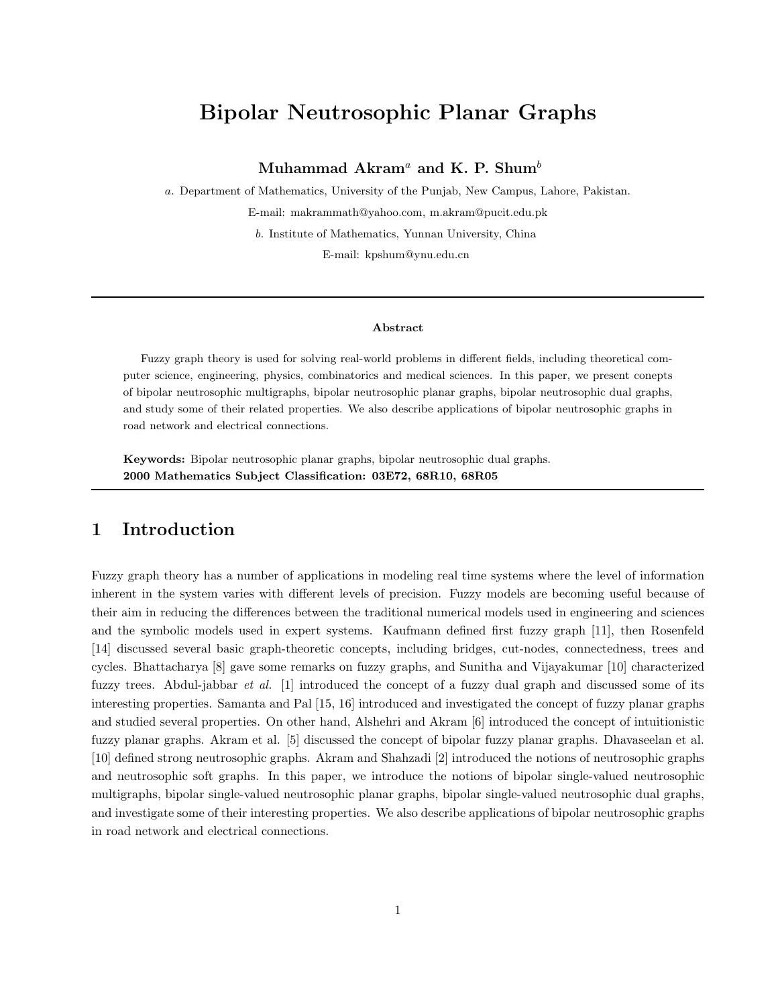# Bipolar Neutrosophic Planar Graphs

### Muhammad Akram<sup>a</sup> and K. P. Shum<sup>b</sup>

a. Department of Mathematics, University of the Punjab, New Campus, Lahore, Pakistan. E-mail: makrammath@yahoo.com, m.akram@pucit.edu.pk

b. Institute of Mathematics, Yunnan University, China

E-mail: kpshum@ynu.edu.cn

#### Abstract

Fuzzy graph theory is used for solving real-world problems in different fields, including theoretical computer science, engineering, physics, combinatorics and medical sciences. In this paper, we present conepts of bipolar neutrosophic multigraphs, bipolar neutrosophic planar graphs, bipolar neutrosophic dual graphs, and study some of their related properties. We also describe applications of bipolar neutrosophic graphs in road network and electrical connections.

Keywords: Bipolar neutrosophic planar graphs, bipolar neutrosophic dual graphs. 2000 Mathematics Subject Classification: 03E72, 68R10, 68R05

### 1 Introduction

Fuzzy graph theory has a number of applications in modeling real time systems where the level of information inherent in the system varies with different levels of precision. Fuzzy models are becoming useful because of their aim in reducing the differences between the traditional numerical models used in engineering and sciences and the symbolic models used in expert systems. Kaufmann defined first fuzzy graph [11], then Rosenfeld [14] discussed several basic graph-theoretic concepts, including bridges, cut-nodes, connectedness, trees and cycles. Bhattacharya [8] gave some remarks on fuzzy graphs, and Sunitha and Vijayakumar [10] characterized fuzzy trees. Abdul-jabbar et al. [1] introduced the concept of a fuzzy dual graph and discussed some of its interesting properties. Samanta and Pal [15, 16] introduced and investigated the concept of fuzzy planar graphs and studied several properties. On other hand, Alshehri and Akram [6] introduced the concept of intuitionistic fuzzy planar graphs. Akram et al. [5] discussed the concept of bipolar fuzzy planar graphs. Dhavaseelan et al. [10] defined strong neutrosophic graphs. Akram and Shahzadi [2] introduced the notions of neutrosophic graphs and neutrosophic soft graphs. In this paper, we introduce the notions of bipolar single-valued neutrosophic multigraphs, bipolar single-valued neutrosophic planar graphs, bipolar single-valued neutrosophic dual graphs, and investigate some of their interesting properties. We also describe applications of bipolar neutrosophic graphs in road network and electrical connections.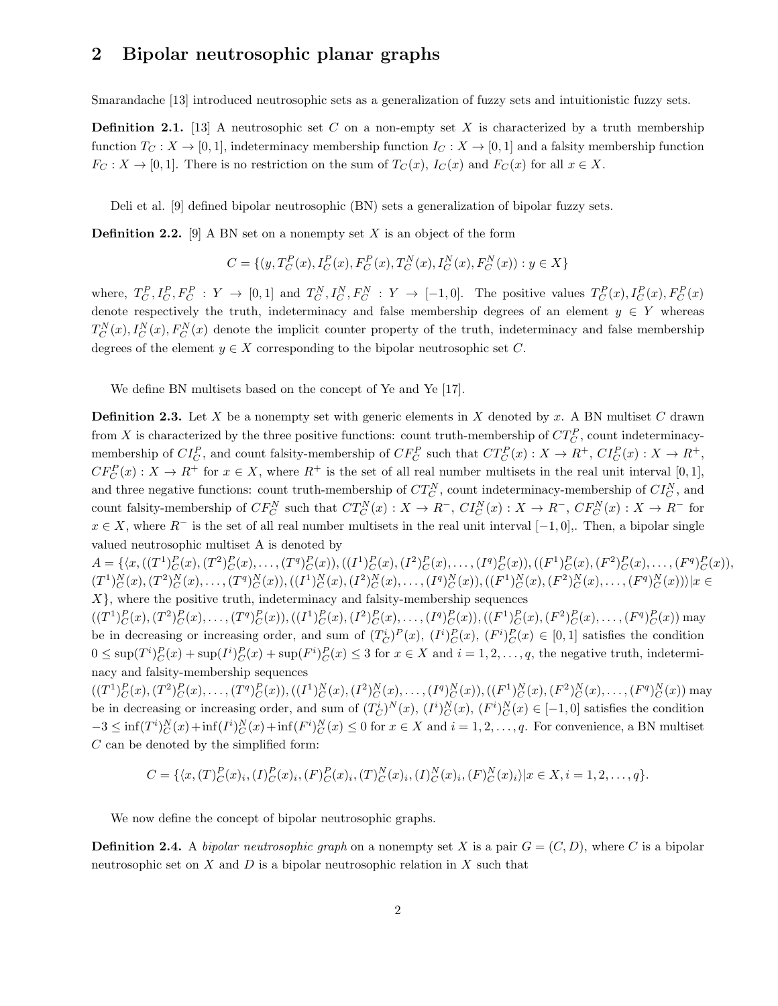### 2 Bipolar neutrosophic planar graphs

Smarandache [13] introduced neutrosophic sets as a generalization of fuzzy sets and intuitionistic fuzzy sets.

**Definition 2.1.** [13] A neutrosophic set C on a non-empty set X is characterized by a truth membership function  $T_C : X \to [0, 1]$ , indeterminacy membership function  $I_C : X \to [0, 1]$  and a falsity membership function  $F_C: X \to [0,1]$ . There is no restriction on the sum of  $T_C(x)$ ,  $I_C(x)$  and  $F_C(x)$  for all  $x \in X$ .

Deli et al. [9] defined bipolar neutrosophic (BN) sets a generalization of bipolar fuzzy sets.

**Definition 2.2.** [9] A BN set on a nonempty set X is an object of the form

$$
C = \{ (y, T_C^P(x), I_C^P(x), F_C^P(x), T_C^N(x), I_C^N(x), F_C^N(x)) : y \in X \}
$$

where,  $T_C^P, I_C^P, F_C^P: Y \to [0,1]$  and  $T_C^N, I_C^N, F_C^N: Y \to [-1,0]$ . The positive values  $T_C^P(x), I_C^P(x), F_C^P(x)$ denote respectively the truth, indeterminacy and false membership degrees of an element  $y \in Y$  whereas  $T_C^N(x)$ ,  $I_C^N(x)$ ,  $F_C^N(x)$  denote the implicit counter property of the truth, indeterminacy and false membership degrees of the element  $y \in X$  corresponding to the bipolar neutrosophic set C.

We define BN multisets based on the concept of Ye and Ye [17].

**Definition 2.3.** Let X be a nonempty set with generic elements in X denoted by x. A BN multiset C drawn from X is characterized by the three positive functions: count truth-membership of  $CT_C^P$ , count indeterminacymembership of  $CI_C^P$ , and count falsity-membership of  $CF_C^P$  such that  $CT_C^P(x)$ :  $X \to R^+$ ,  $CI_C^P(x)$ :  $X \to R^+$ ,  $CF_C^P(x) : X \to R^+$  for  $x \in X$ , where  $R^+$  is the set of all real number multisets in the real unit interval [0, 1], and three negative functions: count truth-membership of  $CT_C^N$ , count indeterminacy-membership of  $CI_C^N$ , and count falsity-membership of  $CF_C^N$  such that  $CT_C^N(x) : X \to R^-$ ,  $CI_C^N(x) : X \to R^-$ ,  $CF_C^N(x) : X \to R^-$  for  $x \in X$ , where  $R^-$  is the set of all real number multisets in the real unit interval  $[-1, 0]$ . Then, a bipolar single valued neutrosophic multiset A is denoted by

 $A = \{ \langle x, ((T^1)_{C}^P(x), (T^2)_{C}^P(x), \dots, (T^q)_{C}^P(x)), ((I^1)_{C}^P(x), (I^2)_{C}^P(x), \dots, (I^q)_{C}^P(x)), ((F^1)_{C}^P(x), (F^2)_{C}^P(x), \dots, (F^q)_{C}^P(x) \rangle,$  $(T^{1})_{C}^{N}(x), (T^{2})_{C}^{N}(x), \ldots, (T^{q})_{C}^{N}(x)), ((I^{1})_{C}^{N}(x), (I^{2})_{C}^{N}(x), \ldots, (I^{q})_{C}^{N}(x)), ((F^{1})_{C}^{N}(x), (F^{2})_{C}^{N}(x), \ldots, (F^{q})_{C}^{N}(x))\rangle | x \in$  $X$ , where the positive truth, indeterminacy and falsity-membership sequences

 $((T^1)_{C}^P(x), (T^2)_{C}^P(x), \ldots, (T^q)_{C}^P(x)), ((I^1)_{C}^P(x), (I^2)_{C}^P(x), \ldots, (I^q)_{C}^P(x)), ((F^1)_{C}^P(x), (F^2)_{C}^P(x), \ldots, (F^q)_{C}^P(x))$ may be in decreasing or increasing order, and sum of  $(T_C^i)^P(x)$ ,  $(I^i)^P_C(x)$ ,  $(F^i)^P_C(x) \in [0,1]$  satisfies the condition  $0 \leq \sup(T^i)_{C}^P(x) + \sup(T^i)_{C}^P(x) + \sup(F^i)_{C}^P(x) \leq 3$  for  $x \in X$  and  $i = 1, 2, ..., q$ , the negative truth, indeterminacy and falsity-membership sequences

 $((T^1)_{C}^P(x), (T^2)_{C}^P(x), \ldots, (T^q)_{C}^P(x)), ((I^1)_{C}^N(x), (I^2)_{C}^N(x), \ldots, (I^q)_{C}^N(x)), ((F^1)_{C}^N(x), (F^2)_{C}^N(x), \ldots, (F^q)_{C}^N(x))$  may be in decreasing or increasing order, and sum of  $(T_C^i)^N(x)$ ,  $(I^i)_C^N(x)$ ,  $(F^i)_C^N(x) \in [-1,0]$  satisfies the condition  $-3 \leq \inf(T^i)_{C}^N(x) + \inf(T^i)_{C}^N(x) + \inf(F^i)_{C}^N(x) \leq 0$  for  $x \in X$  and  $i = 1, 2, ..., q$ . For convenience, a BN multiset C can be denoted by the simplified form:

$$
C = \{ \langle x, (T) \rangle_C^P(x)_i, (I) \rangle_C^P(x)_i, (F) \rangle_C^P(x)_i, (T) \rangle_C^N(x)_i, (I) \rangle_C^N(x)_i, (F) \rangle_C^N(x)_i \} | x \in X, i = 1, 2, \dots, q \}.
$$

We now define the concept of bipolar neutrosophic graphs.

**Definition 2.4.** A bipolar neutrosophic graph on a nonempty set X is a pair  $G = (C, D)$ , where C is a bipolar neutrosophic set on  $X$  and  $D$  is a bipolar neutrosophic relation in  $X$  such that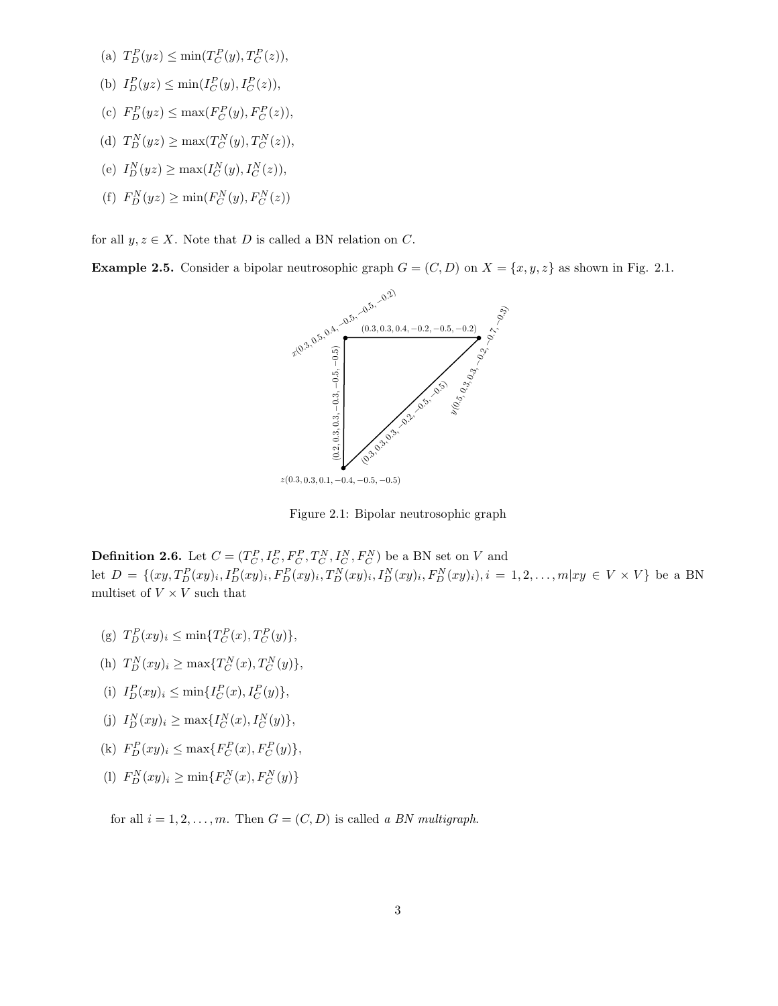- (a)  $T_D^P(yz) \le \min(T_C^P(y), T_C^P(z)),$
- (b)  $I_D^P(yz) \le \min(I_C^P(y), I_C^P(z)),$
- (c)  $F_D^P(yz) \le \max(F_C^P(y), F_C^P(z)),$
- (d)  $T_D^N(yz) \ge \max(T_C^N(y), T_C^N(z)),$
- (e)  $I_D^N(yz) \ge \max(I_C^N(y), I_C^N(z)),$
- (f)  $F_D^N(yz) \ge \min(F_C^N(y), F_C^N(z))$

for all  $y, z \in X$ . Note that D is called a BN relation on C.

**Example 2.5.** Consider a bipolar neutrosophic graph  $G = (C, D)$  on  $X = \{x, y, z\}$  as shown in Fig. 2.1.



Figure 2.1: Bipolar neutrosophic graph

**Definition 2.6.** Let  $C = (T_C^P, I_C^P, F_C^P, T_C^N, I_C^N, F_C^N)$  be a BN set on V and let  $D = \{(xy, T_D^P(xy)_i, I_D^P(xy)_i, F_D^P(xy)_i, T_D^N(xy)_i, I_D^N(xy)_i, F_D^N(xy)_i), i = 1, 2, ..., m|xy \in V \times V\}$  be a BN multiset of  $V \times V$  such that

- (g)  $T_D^P(xy)_i \leq \min\{T_C^P(x), T_C^P(y)\},\$
- (h)  $T_D^N(xy)_i \ge \max\{T_C^N(x), T_C^N(y)\},\$
- (i)  $I_D^P(xy)_i \leq \min\{I_C^P(x), I_C^P(y)\},\$
- (j)  $I_D^N(xy)_i \ge \max\{I_C^N(x), I_C^N(y)\},\$
- (k)  $F_D^P(xy)_i \le \max\{F_C^P(x), F_C^P(y)\},\$
- (1)  $F_D^N(xy)_i \ge \min\{F_C^N(x), F_C^N(y)\}$

for all  $i = 1, 2, \ldots, m$ . Then  $G = (C, D)$  is called a BN multigraph.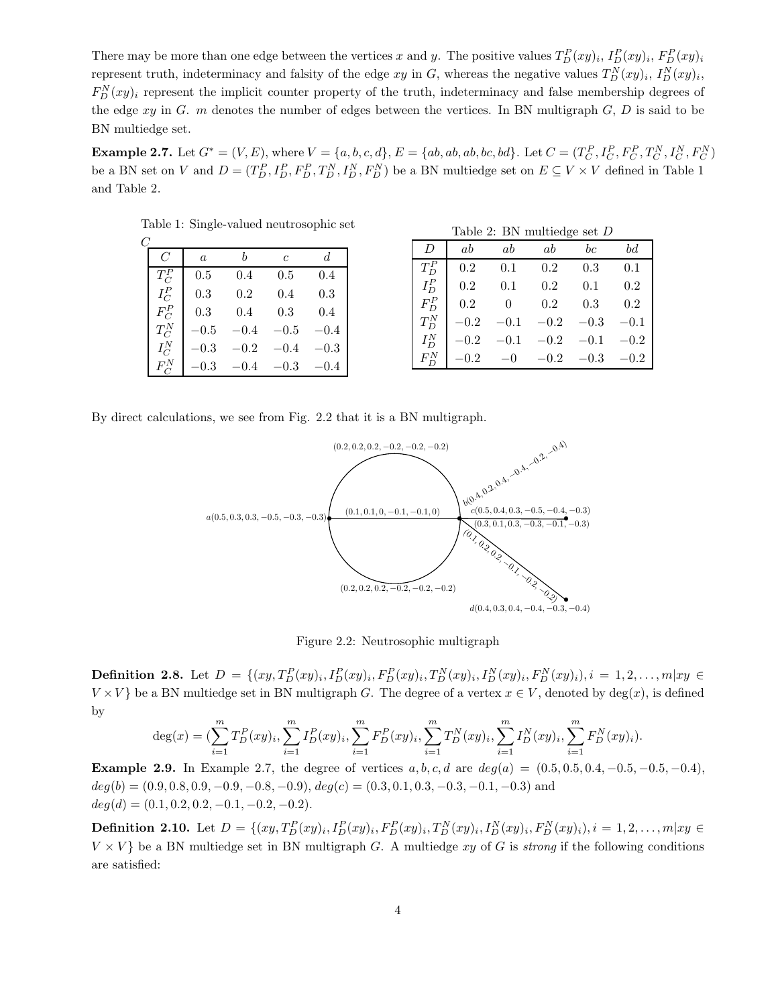There may be more than one edge between the vertices x and y. The positive values  $T_D^P(xy)_i$ ,  $I_D^P(xy)_i$ ,  $F_D^P(xy)_i$ represent truth, indeterminacy and falsity of the edge  $xy$  in G, whereas the negative values  $T_D^N(xy)_i$ ,  $I_D^N(xy)_i$ ,  $F_D^N(xy)_i$  represent the implicit counter property of the truth, indeterminacy and false membership degrees of the edge  $xy$  in G. m denotes the number of edges between the vertices. In BN multigraph  $G, D$  is said to be BN multiedge set.

**Example 2.7.** Let  $G^* = (V, E)$ , where  $V = \{a, b, c, d\}$ ,  $E = \{ab, ab, ab, bc, bd\}$ . Let  $C = (T_C^P, I_C^P, F_C^P, T_C^N, I_C^N, F_C^N)$ be a BN set on V and  $D = (T_D^P, I_D^P, F_D^P, T_D^N, I_D^N, F_D^N)$  be a BN multiedge set on  $E \subseteq V \times V$  defined in Table 1 and Table 2.

| $\mathcal C$ |                |          |        |                |        |
|--------------|----------------|----------|--------|----------------|--------|
|              | $\overline{C}$ | $\alpha$ | h      | $\overline{c}$ | d.     |
|              | $T_C^P$        | 0.5      | 0.4    | 0.5            | 0.4    |
|              | $I_C^P$        | 0.3      | 0.2    | 0.4            | 0.3    |
|              | $F_C^P$        | 0.3      | 0.4    | 0.3            | 0.4    |
|              | $T_C^N$        | $-0.5$   | $-0.4$ | $-0.5$         | $-0.4$ |
|              | $I_C^N$        | $-0.3$   | $-0.2$ | $-0.4$         | $-0.3$ |
|              | $F_C^N$        | $-0.3$   | $-0.4$ | $-0.3$         | (0.4)  |

Table 1: Single-valued neutrosophic set

|         |               | Table 2: BN multiedge set $D$ |        |         |        |
|---------|---------------|-------------------------------|--------|---------|--------|
| D       | ab            | ab                            | ab     | $_{bc}$ | bd     |
| $T_D^P$ | 0.2           | 0.1                           | 0.2    | 0.3     | 0.1    |
| $I_D^P$ | 0.2           | 0.1                           | 0.2    | 0.1     | 0.2    |
| $F_D^P$ | 0.2           | $\theta$                      | 0.2    | 0.3     | 0.2    |
| $T_D^N$ | $^{\rm -0.2}$ | $-0.1$                        | $-0.2$ | $-0.3$  | $-0.1$ |
| $I_D^N$ | $-0.2$        | $-0.1$                        | $-0.2$ | $-0.1$  | $-0.2$ |
|         |               | $-0$                          | $-0.2$ | $-0.3$  | $-0.2$ |

By direct calculations, we see from Fig. 2.2 that it is a BN multigraph.



Figure 2.2: Neutrosophic multigraph

**Definition 2.8.** Let  $D = \{(xy, T_D^P(xy)_i, I_D^P(xy)_i, F_D^P(xy)_i, T_D^N(xy)_i, I_D^N(xy)_i, F_D^N(xy)_i), i = 1, 2, ..., m|xy \in$  $V \times V$  be a BN multiedge set in BN multigraph G. The degree of a vertex  $x \in V$ , denoted by deg(x), is defined by

$$
\deg(x) = \left(\sum_{i=1}^{m} T_D^P(xy)_i, \sum_{i=1}^{m} I_D^P(xy)_i, \sum_{i=1}^{m} F_D^P(xy)_i, \sum_{i=1}^{m} T_D^N(xy)_i, \sum_{i=1}^{m} I_D^N(xy)_i, \sum_{i=1}^{m} F_D^N(xy)_i\right).
$$

**Example 2.9.** In Example 2.7, the degree of vertices  $a, b, c, d$  are  $deg(a) = (0.5, 0.5, 0.4, -0.5, -0.5, -0.4)$ ,  $deg(b) = (0.9, 0.8, 0.9, -0.9, -0.8, -0.9), deg(c) = (0.3, 0.1, 0.3, -0.3, -0.1, -0.3)$  and  $deg(d) = (0.1, 0.2, 0.2, -0.1, -0.2, -0.2).$ 

**Definition 2.10.** Let  $D = \{(xy, T_D^P(xy)_i, I_D^P(xy)_i, F_D^P(xy)_i, T_D^N(xy)_i, I_D^N(xy)_i, F_D^N(xy)_i), i = 1, 2, ..., m|xy \in$  $V \times V$ } be a BN multiedge set in BN multigraph G. A multiedge xy of G is strong if the following conditions are satisfied: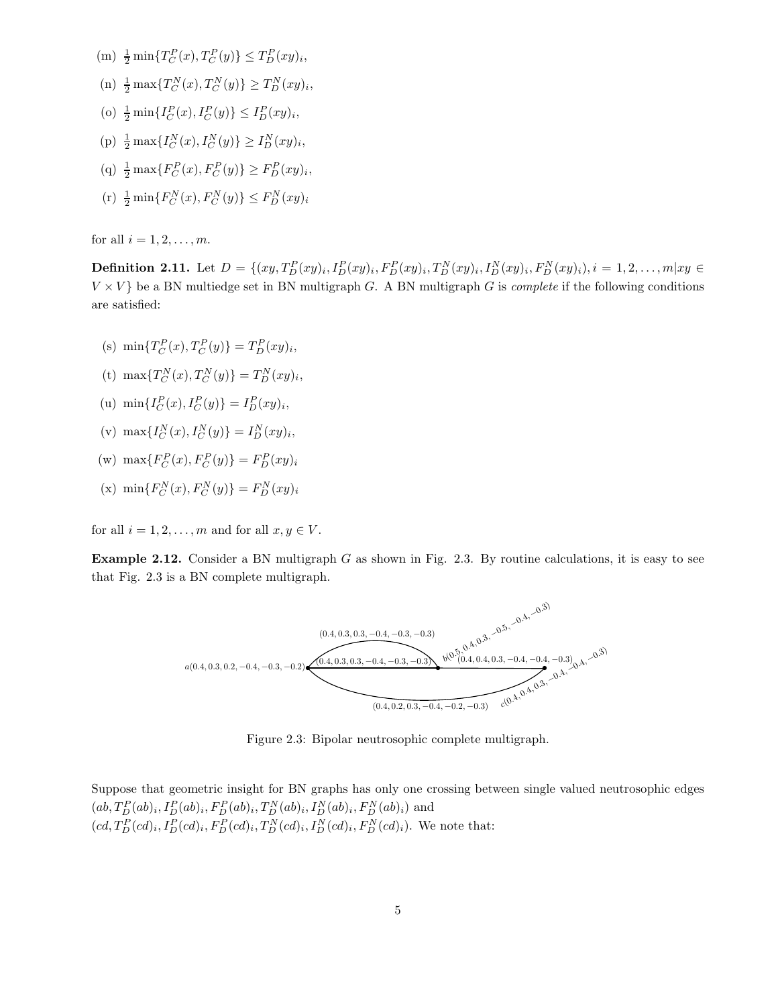- (m)  $\frac{1}{2} \min\{T_C^P(x), T_C^P(y)\} \leq T_D^P(xy)_i,$
- (n)  $\frac{1}{2} \max \{ T_C^N(x), T_C^N(y) \} \ge T_D^N(xy)_i,$
- (o)  $\frac{1}{2} \min\{I_C^P(x), I_C^P(y)\} \leq I_D^P(xy)_i,$
- (p)  $\frac{1}{2} \max\{I_C^N(x), I_C^N(y)\} \ge I_D^N(xy)_i,$
- (q)  $\frac{1}{2} \max \{ F_C^P(x), F_C^P(y) \} \ge F_D^P(xy)_i,$
- (r)  $\frac{1}{2} \min\{F_C^N(x), F_C^N(y)\} \leq F_D^N(xy)_i$

for all  $i = 1, 2, \ldots, m$ .

**Definition 2.11.** Let  $D = \{(xy, T_D^P(xy)_i, I_D^P(xy)_i, F_D^P(xy)_i, T_D^N(xy)_i, I_D^N(xy)_i, F_D^N(xy)_i), i = 1, 2, ..., m|xy \in$  $V \times V$  be a BN multiedge set in BN multigraph G. A BN multigraph G is *complete* if the following conditions are satisfied:

- (s)  $\min\{T_C^P(x), T_C^P(y)\} = T_D^P(xy)_i,$
- (t)  $\max\{T_C^N(x), T_C^N(y)\} = T_D^N(xy)_i,$
- (u)  $\min\{I_C^P(x), I_C^P(y)\} = I_D^P(xy)_i,$
- (v)  $\max\{I_C^N(x), I_C^N(y)\} = I_D^N(xy)_i,$
- (w)  $\max\{F_C^P(x), F_C^P(y)\} = F_D^P(xy)_i$
- (x)  $\min\{F_C^N(x), F_C^N(y)\} = F_D^N(xy)_i$

for all  $i = 1, 2, \ldots, m$  and for all  $x, y \in V$ .

**Example 2.12.** Consider a BN multigraph  $G$  as shown in Fig. 2.3. By routine calculations, it is easy to see that Fig. 2.3 is a BN complete multigraph.



Figure 2.3: Bipolar neutrosophic complete multigraph.

Suppose that geometric insight for BN graphs has only one crossing between single valued neutrosophic edges  $(ab, T_D^P(ab)_i, I_D^P(ab)_i, F_D^P(ab)_i, T_D^N(ab)_i, I_D^N(ab)_i, F_D^N(ab)_i)$  and  $(cd, T_D^P(cd)_i, I_D^P(cd)_i, F_D^P(cd)_i, T_D^N(cd)_i, I_D^N(cd)_i, F_D^N(cd)_i$ . We note that: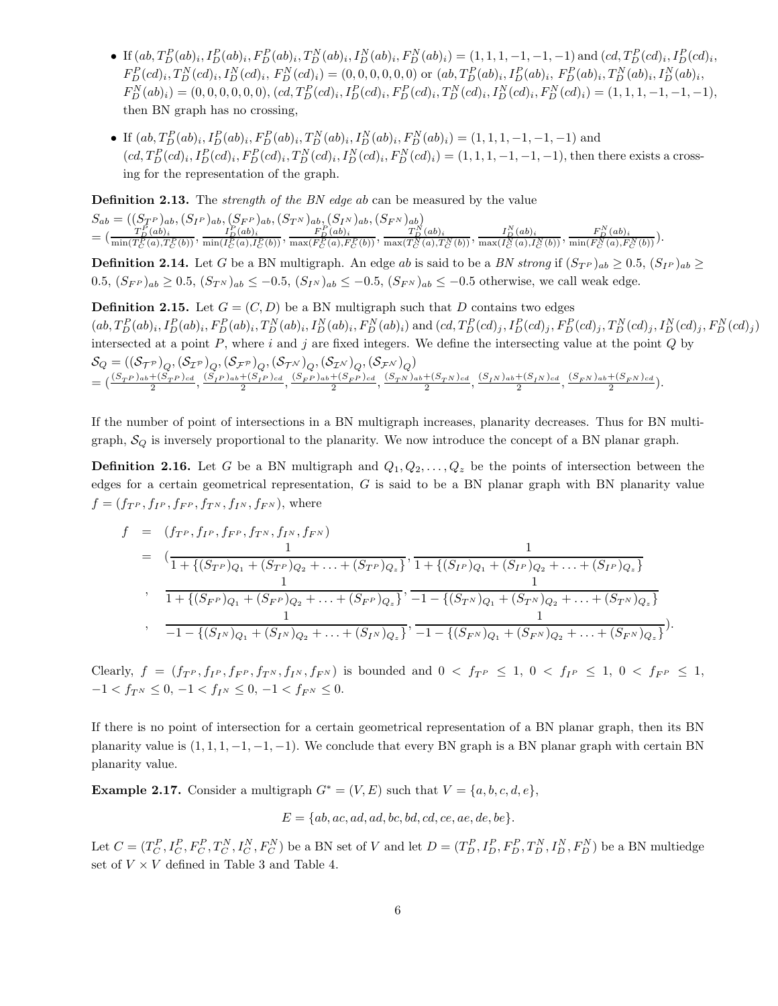- If  $(ab, T_D^P(ab)_i, I_D^P(ab)_i, F_D^P(ab)_i, T_D^N(ab)_i, I_D^N(ab)_i, F_D^N(ab)_i) = (1, 1, 1, -1, -1, -1)$  and  $(cd, T_D^P(cd)_i, T_D^P(ab)_i,$  $F_D^P(cd)_i, T_D^N(cd)_i, I_D^N(cd)_i, F_D^N(cd)_i) = (0, 0, 0, 0, 0, 0)$  or  $(ab, T_D^P(ab)_i, I_D^P(ab)_i, F_D^P(ab)_i, T_D^N(ab)_i, I_D^N(ab)_i,$  $F_D^N(ab)_i = (0, 0, 0, 0, 0, 0), (cd, T_D^P(cd)_i, F_D^P(cd)_i, F_D^N(cd)_i, T_D^N(cd)_i, F_D^N(cd)_i, F_D^N(cd)_i = (1, 1, 1, -1, -1, -1),$ then BN graph has no crossing,
- If  $(ab, T_D^P(ab)_i, I_D^P(ab)_i, F_D^P(ab)_i, T_D^N(ab)_i, I_D^N(ab)_i, F_D^N(ab)_i) = (1, 1, 1, -1, -1, -1)$  and  $(cd, T_D^P(cd)_i, I_D^P(cd)_i, F_D^P(cd)_i, T_D^N(cd)_i, I_D^N(cd)_i, F_D^N(cd)_i) = (1, 1, 1, -1, -1, -1)$ , then there exists a crossing for the representation of the graph.

**Definition 2.13.** The *strength of the BN edge ab* can be measured by the value

 $S_{ab} = ((S_{T^P})_{ab}, (S_{I^P})_{ab}, (S_{F^P})_{ab}, (S_{T^N})_{ab}, (S_{I^N})_{ab}, (S_{F^N})_{ab})$  $=\big(\frac{T_D^P(ab)_i}{\min(T_C^P(a),T_C^P(b))},\frac{I_D^P(ab)_i}{\min(I_C^P(a),I_C^P(b))},\frac{F_D^P(ab)_i}{\max(F_C^P(a),F_C^P(b))},\frac{T_D^N(ab)_i}{\max(T_C^N(a),T_C^N(b))},\frac{I_D^N(ab)_i}{\max(I_C^N(a),I_C^N(b))},\frac{F_D^N(ab)_i}{\min(F_C^N(a),F_C^N(b))}\big).$ 

**Definition 2.14.** Let G be a BN multigraph. An edge ab is said to be a BN strong if  $(S_{T^P})_{ab} \ge 0.5$ ,  $(S_{T^P})_{ab} \ge$  $0.5, (S_{F^P})_{ab} \geq 0.5, (S_{T^N})_{ab} \leq -0.5, (S_{T^N})_{ab} \leq -0.5, (S_{F^N})_{ab} \leq -0.5$  otherwise, we call weak edge.

**Definition 2.15.** Let  $G = (C, D)$  be a BN multigraph such that D contains two edges  $(ab, T_D^P(ab)_i, I_D^P(ab)_i, T_D^N(ab)_i, I_D^N(ab)_i, F_D^N(ab)_i)$  and  $(cd, T_D^P(cd)_j, I_D^P(cd)_j, T_D^N(cd)_j, I_D^N(cd)_j, F_D^N(cd)_j)$ intersected at a point  $P$ , where  $i$  and  $j$  are fixed integers. We define the intersecting value at the point  $Q$  by  $\mathcal{S}_Q = ((\mathcal{S}_{\mathcal{T}^{\mathcal{P}}})_Q,(\mathcal{S}_{\mathcal{I}^{\mathcal{P}}})_Q,(\mathcal{S}_{\mathcal{F}^{\mathcal{P}}})_Q,(\mathcal{S}_{\mathcal{T}^{\mathcal{N}}})_Q,(\mathcal{S}_{\mathcal{I}^{\mathcal{N}}})_Q,(\mathcal{S}_{\mathcal{F}^{\mathcal{N}}})_Q)$  $=\left(\frac{(S_T P)_{ab}+(S_T P)_{cd}}{2},\frac{(S_I P)_{ab}+(S_I P)_{cd}}{2},\frac{(S_F P)_{ab}+(S_F P)_{cd}}{2},\frac{(S_T N)_{ab}+(S_T N)_{cd}}{2},\frac{(S_I N)_{ab}+(S_I N)_{cd}}{2},\frac{(S_F N)_{ab}+(S_F N)_{cd}}{2}\right).$ 

If the number of point of intersections in a BN multigraph increases, planarity decreases. Thus for BN multigraph,  $S_Q$  is inversely proportional to the planarity. We now introduce the concept of a BN planar graph.

**Definition 2.16.** Let G be a BN multigraph and  $Q_1, Q_2, \ldots, Q_z$  be the points of intersection between the edges for a certain geometrical representation,  $G$  is said to be a BN planar graph with BN planarity value  $f = (f_{T^P}, f_{I^P}, f_{F^P}, f_{T^N}, f_{I^N}, f_{F^N})$ , where

$$
f = (f_{T^P}, f_{I^P}, f_{F^P}, f_{T^N}, f_{I^N}, f_{F^N})
$$
  
\n
$$
= \left( \frac{1}{1 + \{(S_{T^P})_{Q_1} + (S_{T^P})_{Q_2} + \dots + (S_{T^P})_{Q_z}\}} \right), \frac{1}{1 + \{(S_{I^P})_{Q_1} + (S_{I^P})_{Q_2} + \dots + (S_{I^P})_{Q_z}\}}
$$
  
\n
$$
\frac{1}{1 + \{(S_{F^P})_{Q_1} + (S_{F^P})_{Q_2} + \dots + (S_{F^P})_{Q_z}\}} \right), \frac{1}{-1 - \{(S_{T^N})_{Q_1} + (S_{T^N})_{Q_2} + \dots + (S_{T^N})_{Q_z}\}}
$$
  
\n
$$
\frac{1}{-1 - \{(S_{I^N})_{Q_1} + (S_{I^N})_{Q_2} + \dots + (S_{I^N})_{Q_z}\}} \cdot \frac{1}{-1 - \{(S_{F^N})_{Q_1} + (S_{F^N})_{Q_2} + \dots + (S_{F^N})_{Q_z}\}}).
$$

Clearly,  $f = (f_{T^P}, f_{I^P}, f_{F^P}, f_{T^N}, f_{I^N}, f_{F^N})$  is bounded and  $0 < f_{T^P} \le 1$ ,  $0 < f_{I^P} \le 1$ ,  $0 < f_{F^P} \le 1$ ,  $-1 < f_{T^N} \leq 0, -1 < f_{T^N} \leq 0, -1 < f_{F^N} \leq 0.$ 

If there is no point of intersection for a certain geometrical representation of a BN planar graph, then its BN planarity value is  $(1, 1, 1, -1, -1, -1)$ . We conclude that every BN graph is a BN planar graph with certain BN planarity value.

Example 2.17. Consider a multigraph  $G^* = (V, E)$  such that  $V = \{a, b, c, d, e\}$ ,

$$
E = \{ab, ac, ad, ad, bc, bd, cd, ce, ae, de, be\}.
$$

Let  $C = (T_C^P, I_C^P, F_C^P, T_C^N, I_C^N, F_C^N)$  be a BN set of V and let  $D = (T_D^P, I_D^P, F_D^P, T_D^N, I_D^N, F_D^N)$  be a BN multiedge set of  $V \times V$  defined in Table 3 and Table 4.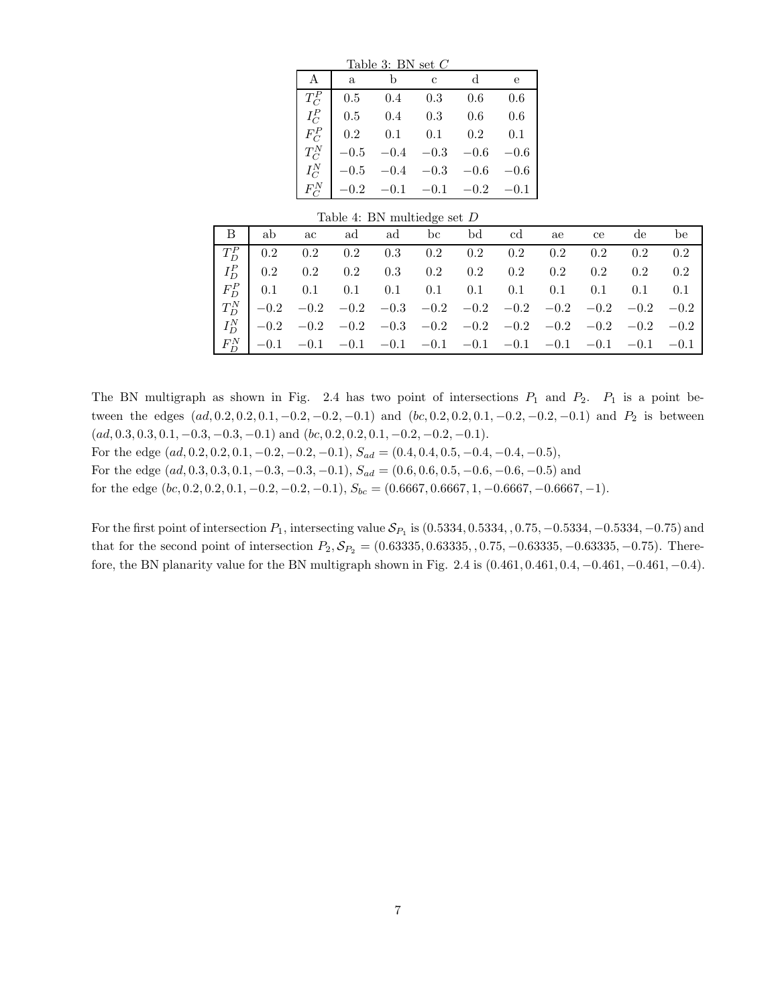| Table 3: BN set $C$ |          |              |        |        |        |  |  |  |  |  |  |
|---------------------|----------|--------------|--------|--------|--------|--|--|--|--|--|--|
| A                   | a.       | b            | C      | d      | е      |  |  |  |  |  |  |
| $T_C^P$             | 0.5      | 0.4          | 0.3    | 0.6    | 0.6    |  |  |  |  |  |  |
| $I_C^P$             | 0.5      | 0.4          | 0.3    | 0.6    | 0.6    |  |  |  |  |  |  |
| $F_C^P$             | 0.2      | 0.1          | 0.1    | 0.2    | 0.1    |  |  |  |  |  |  |
| $T_C^N$             | $-0.5$   | $-0.4$       | $-0.3$ | $-0.6$ | $-0.6$ |  |  |  |  |  |  |
| $I_C^N$             | $-0.5$   | $-0.4$       | $-0.3$ | $-0.6$ | $-0.6$ |  |  |  |  |  |  |
| $F_C^N$             | $-0.2\,$ | $-0.1 - 0.1$ |        | $-0.2$ | $-0.1$ |  |  |  |  |  |  |

#### Table 4: BN multiedge set D

|  | B ab ac ad ad bc bd cd ae ce de be                                 |  |  |  |  |  |
|--|--------------------------------------------------------------------|--|--|--|--|--|
|  | $T_D^P$   0.2 0.2 0.2 0.3 0.2 0.2 0.2 0.2 0.2 0.2 0.2              |  |  |  |  |  |
|  | $I_D^P$   0.2 0.2 0.2 0.3 0.2 0.2 0.2 0.2 0.2 0.2 0.2              |  |  |  |  |  |
|  |                                                                    |  |  |  |  |  |
|  | $T_D^N$ -0.2 -0.2 -0.2 -0.3 -0.2 -0.2 -0.2 -0.2 -0.2 -0.2 -0.2     |  |  |  |  |  |
|  | $I_{D}^{N}$ -0.2 -0.2 -0.2 -0.3 -0.2 -0.2 -0.2 -0.2 -0.2 -0.2 -0.2 |  |  |  |  |  |
|  |                                                                    |  |  |  |  |  |

The BN multigraph as shown in Fig. 2.4 has two point of intersections  $P_1$  and  $P_2$ .  $P_1$  is a point between the edges  $(ad, 0.2, 0.2, 0.1, -0.2, -0.2, -0.1)$  and  $(bc, 0.2, 0.2, 0.1, -0.2, -0.2, -0.1)$  and  $P_2$  is between  $(ad, 0.3, 0.3, 0.1, -0.3, -0.3, -0.1)$  and  $(bc, 0.2, 0.2, 0.1, -0.2, -0.2, -0.1).$ 

For the edge  $(ad, 0.2, 0.2, 0.1, -0.2, -0.2, -0.1), S_{ad} = (0.4, 0.4, 0.5, -0.4, -0.4, -0.5),$ 

For the edge  $(ad, 0.3, 0.3, 0.1, -0.3, -0.3, -0.1), S_{ad} = (0.6, 0.6, 0.5, -0.6, -0.6, -0.5)$  and

for the edge  $(bc, 0.2, 0.2, 0.1, -0.2, -0.2, -0.1), S_{bc} = (0.6667, 0.6667, 1, -0.6667, -0.6667, -1).$ 

For the first point of intersection  $P_1$ , intersecting value  $\mathcal{S}_{P_1}$  is  $(0.5334, 0.5334, 0.75, -0.5334, -0.5334, -0.75)$  and that for the second point of intersection  $P_2, S_{P_2} = (0.63335, 0.63335, 0.75, -0.63335, -0.63335, -0.75)$ . Therefore, the BN planarity value for the BN multigraph shown in Fig. 2.4 is (0.461, 0.461, 0.4, −0.461, −0.461, −0.4).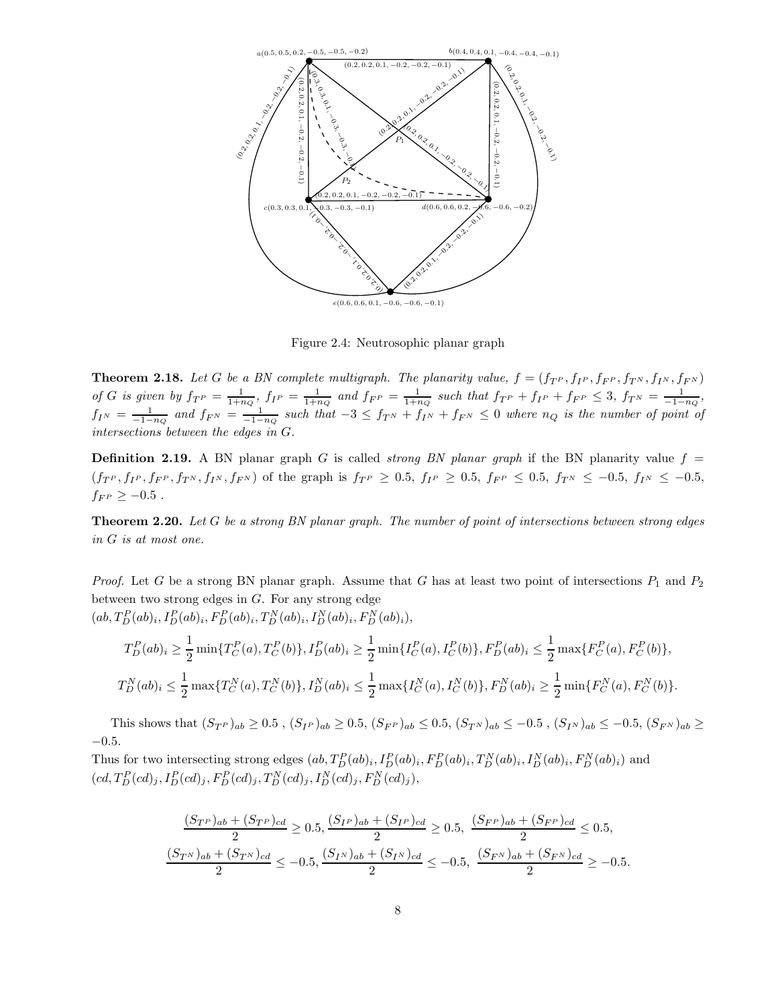

Figure 2.4: Neutrosophic planar graph

**Theorem 2.18.** Let G be a BN complete multigraph. The planarity value,  $f = (f_T P, f_F P, f_{F} P, f_{T} N, f_{F} N)$ of G is given by  $f_{T^P} = \frac{1}{1+n_Q}$ ,  $f_{I^P} = \frac{1}{1+n_Q}$  and  $f_{F^P} = \frac{1}{1+n_Q}$  such that  $f_{T^P} + f_{I^P} + f_{F^P} \leq 3$ ,  $f_{T^N} = \frac{1}{-1-n_Q}$ ,  $f_{I^{N}} = \frac{1}{-1-n_Q}$  and  $f_{F^{N}} = \frac{1}{-1-n_Q}$  such that  $-3 \leq f_{T^{N}} + f_{I^{N}} + f_{F^{N}} \leq 0$  where  $n_Q$  is the number of point of intersections between the edges in G.

**Definition 2.19.** A BN planar graph G is called *strong BN planar graph* if the BN planarity value  $f =$  $(f_{T^P}, f_{I^P}, f_{F^P}, f_{T^N}, f_{I^N}, f_{F^N})$  of the graph is  $f_{T^P} \ge 0.5$ ,  $f_{I^P} \ge 0.5$ ,  $f_{F^P} \le 0.5$ ,  $f_{T^N} \le -0.5$ ,  $f_{I^N} \le -0.5$ ,  $f_{F^P}\geq -0.5$  .

Theorem 2.20. Let G be a strong BN planar graph. The number of point of intersections between strong edges in G is at most one.

*Proof.* Let G be a strong BN planar graph. Assume that G has at least two point of intersections  $P_1$  and  $P_2$ between two strong edges in  $G$ . For any strong edge  $(ab, T_D^P(ab)_i, I_D^P(ab)_i, F_D^P(ab)_i, T_D^N(ab)_i, I_D^N(ab)_i, F_D^N(ab)_i),$ 

$$
T_D^P(ab)_i \ge \frac{1}{2} \min \{ T_C^P(a), T_C^P(b) \}, I_D^P(ab)_i \ge \frac{1}{2} \min \{ I_C^P(a), I_C^P(b) \}, F_D^P(ab)_i \le \frac{1}{2} \max \{ F_C^P(a), F_C^P(b) \},
$$
  

$$
T_D^N(ab)_i \le \frac{1}{2} \max \{ T_C^N(a), T_C^N(b) \}, I_D^N(ab)_i \le \frac{1}{2} \max \{ I_C^N(a), I_C^N(b) \}, F_D^N(ab)_i \ge \frac{1}{2} \min \{ F_C^N(a), F_C^N(b) \}.
$$

This shows that  $(S_{T^P})_{ab} \ge 0.5$ ,  $(S_{T^P})_{ab} \ge 0.5$ ,  $(S_{F^P})_{ab} \le 0.5$ ,  $(S_{T^N})_{ab} \le -0.5$ ,  $(S_{T^N})_{ab} \le -0.5$ ,  $(S_{F^N})_{ab} \ge$  $-0.5.$ 

Thus for two intersecting strong edges  $(ab, T_D^P(ab)_i, I_D^P(ab)_i, T_D^N(ab)_i, I_D^N(ab)_i, F_D^N(ab)_i)$  and  $(cd, T_D^P(cd)_j, I_D^P(cd)_j, F_D^P(cd)_j, T_D^N(cd)_j, I_D^N(cd)_j, F_D^N(cd)_j),$ 

$$
\frac{(S_{T^P})_{ab} + (S_{T^P})_{cd}}{2} \ge 0.5, \frac{(S_{I^P})_{ab} + (S_{I^P})_{cd}}{2} \ge 0.5, \frac{(S_{F^P})_{ab} + (S_{F^P})_{cd}}{2} \le 0.5,
$$
  

$$
\frac{(S_{T^N})_{ab} + (S_{T^N})_{cd}}{2} \le -0.5, \frac{(S_{I^N})_{ab} + (S_{I^N})_{cd}}{2} \le -0.5, \frac{(S_{F^N})_{ab} + (S_{F^N})_{cd}}{2} \ge -0.5.
$$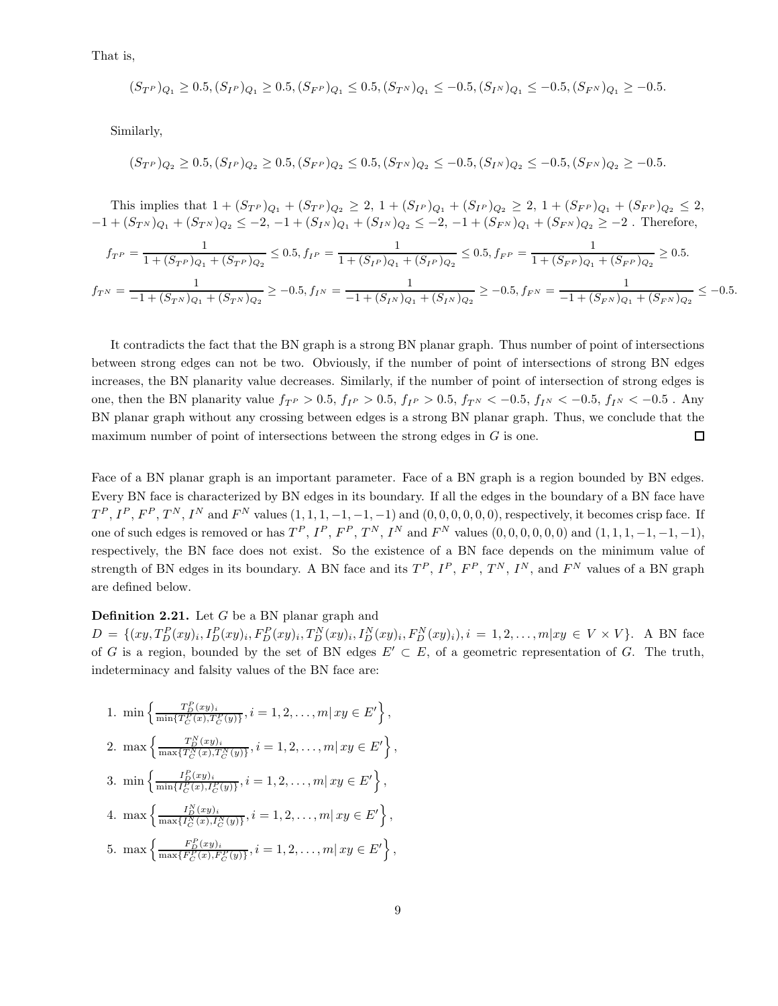That is,

$$
(S_{T^P})_{Q_1} \ge 0.5, (S_{T^P})_{Q_1} \ge 0.5, (S_{F^P})_{Q_1} \le 0.5, (S_{T^N})_{Q_1} \le -0.5, (S_{T^N})_{Q_1} \le -0.5, (S_{F^N})_{Q_1} \ge -0.5.
$$

Similarly,

$$
(S_{T^P})_{Q_2} \ge 0.5, (S_{T^P})_{Q_2} \ge 0.5, (S_{F^P})_{Q_2} \le 0.5, (S_{T^N})_{Q_2} \le -0.5, (S_{T^N})_{Q_2} \le -0.5, (S_{F^N})_{Q_2} \ge -0.5.
$$

This implies that  $1 + (S_{T}P)_{Q_1} + (S_{T}P)_{Q_2} \geq 2$ ,  $1 + (S_{T}P)_{Q_1} + (S_{T}P)_{Q_2} \geq 2$ ,  $1 + (S_{F}P)_{Q_1} + (S_{F}P)_{Q_2} \leq 2$ ,  $-1 + (S_{T^N})_{Q_1} + (S_{T^N})_{Q_2} \leq -2, -1 + (S_{T^N})_{Q_1} + (S_{T^N})_{Q_2} \leq -2, -1 + (S_{F^N})_{Q_1} + (S_{F^N})_{Q_2} \geq -2$ . Therefore,

$$
f_{T^P} = \frac{1}{1 + (S_{T^P})_{Q_1} + (S_{T^P})_{Q_2}} \le 0.5, f_{I^P} = \frac{1}{1 + (S_{I^P})_{Q_1} + (S_{I^P})_{Q_2}} \le 0.5, f_{F^P} = \frac{1}{1 + (S_{F^P})_{Q_1} + (S_{F^P})_{Q_2}} \ge 0.5.
$$
  

$$
f_{T^N} = \frac{1}{-1 + (S_{T^N})_{Q_1} + (S_{T^N})_{Q_2}} \ge -0.5, f_{I^N} = \frac{1}{-1 + (S_{I^N})_{Q_1} + (S_{I^N})_{Q_2}} \ge -0.5, f_{F^N} = \frac{1}{-1 + (S_{F^N})_{Q_1} + (S_{F^N})_{Q_2}} \le -0.5.
$$

It contradicts the fact that the BN graph is a strong BN planar graph. Thus number of point of intersections between strong edges can not be two. Obviously, if the number of point of intersections of strong BN edges increases, the BN planarity value decreases. Similarly, if the number of point of intersection of strong edges is one, then the BN planarity value  $f_{T}$   $> 0.5$ ,  $f_{I}$   $> 0.5$ ,  $f_{I}$   $> 0.5$ ,  $f_{T}$   $< -0.5$ ,  $f_{N}$   $< -0.5$ ,  $f_{N}$   $< -0.5$ . Any BN planar graph without any crossing between edges is a strong BN planar graph. Thus, we conclude that the maximum number of point of intersections between the strong edges in G is one.  $\Box$ 

Face of a BN planar graph is an important parameter. Face of a BN graph is a region bounded by BN edges. Every BN face is characterized by BN edges in its boundary. If all the edges in the boundary of a BN face have  $T^P, I^P, F^P, T^N, I^N$  and  $F^N$  values  $(1, 1, 1, -1, -1, -1)$  and  $(0, 0, 0, 0, 0, 0)$ , respectively, it becomes crisp face. If one of such edges is removed or has  $T^P$ ,  $I^P$ ,  $F^P$ ,  $T^N$ ,  $I^N$  and  $F^N$  values  $(0,0,0,0,0,0)$  and  $(1,1,1,-1,-1,-1)$ , respectively, the BN face does not exist. So the existence of a BN face depends on the minimum value of strength of BN edges in its boundary. A BN face and its  $T^P$ ,  $I^P$ ,  $F^P$ ,  $T^N$ ,  $I^N$ , and  $F^N$  values of a BN graph are defined below.

### **Definition 2.21.** Let  $G$  be a BN planar graph and

 $D = \{(xy, T_D^P(xy)_i, I_D^P(xy)_i, F_D^P(xy)_i, T_D^N(xy)_i, I_D^N(xy)_i, F_D^N(xy)_i), i = 1, 2, ..., m|xy \in V \times V\}.$  A BN face of G is a region, bounded by the set of BN edges  $E' \subset E$ , of a geometric representation of G. The truth, indeterminacy and falsity values of the BN face are:

1. 
$$
\min \left\{ \frac{T_D^P(xy)_i}{\min\{T_C^P(x), T_C^P(y)\}}, i = 1, 2, ..., m | xy \in E' \right\},
$$
  
\n2.  $\max \left\{ \frac{T_D^N(xy)_i}{\max\{T_C^N(x), T_C^N(y)\}}, i = 1, 2, ..., m | xy \in E' \right\},$   
\n3.  $\min \left\{ \frac{I_D^P(xy)_i}{\min\{I_C^P(x), I_C^P(y)\}}, i = 1, 2, ..., m | xy \in E' \right\},$   
\n4.  $\max \left\{ \frac{I_D^N(xy)_i}{\max\{I_C^N(x), I_C^N(y)\}}, i = 1, 2, ..., m | xy \in E' \right\},$   
\n5.  $\max \left\{ \frac{F_D^P(xy)_i}{\max\{F_C^P(x), F_C^P(y)\}}, i = 1, 2, ..., m | xy \in E' \right\},$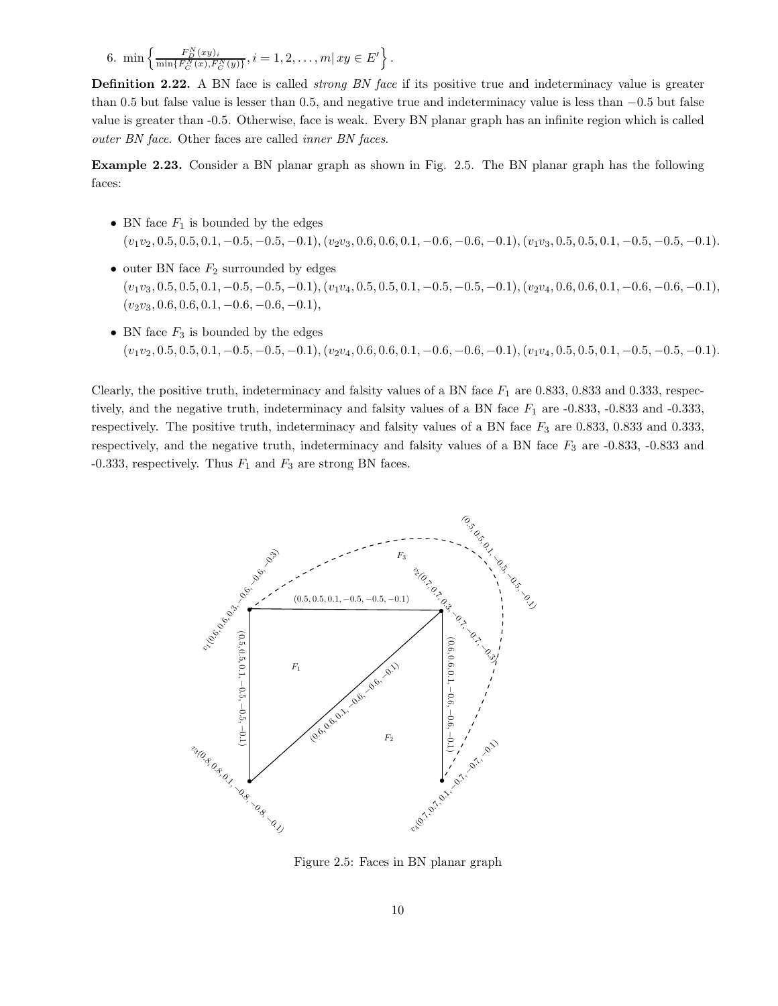6. 
$$
\min\left\{\frac{F_D^N(xy)_i}{\min\{F_C^N(x), F_C^N(y)\}}, i=1,2,\ldots,m\right| xy \in E'\right\}
$$

**Definition 2.22.** A BN face is called *strong BN face* if its positive true and indeterminacy value is greater than 0.5 but false value is lesser than 0.5, and negative true and indeterminacy value is less than −0.5 but false value is greater than -0.5. Otherwise, face is weak. Every BN planar graph has an infinite region which is called outer BN face. Other faces are called inner BN faces.

.

Example 2.23. Consider a BN planar graph as shown in Fig. 2.5. The BN planar graph has the following faces:

- BN face  $F_1$  is bounded by the edges  $(v_1v_2, 0.5, 0.5, 0.1, -0.5, -0.5, -0.1), (v_2v_3, 0.6, 0.6, 0.1, -0.6, -0.6, -0.1), (v_1v_3, 0.5, 0.5, 0.1, -0.5, -0.5, -0.1).$
- outer BN face  $F_2$  surrounded by edges  $(v_1v_3, 0.5, 0.5, 0.1, -0.5, -0.5, -0.1), (v_1v_4, 0.5, 0.5, 0.1, -0.5, -0.5, -0.1), (v_2v_4, 0.6, 0.6, 0.1, -0.6, -0.6, -0.1),$  $(v_2v_3, 0.6, 0.6, 0.1, -0.6, -0.6, -0.1),$
- BN face  $F_3$  is bounded by the edges  $(v_1v_2, 0.5, 0.5, 0.1, -0.5, -0.5, -0.1), (v_2v_4, 0.6, 0.6, 0.1, -0.6, -0.6, -0.1), (v_1v_4, 0.5, 0.5, 0.1, -0.5, -0.5, -0.1).$

Clearly, the positive truth, indeterminacy and falsity values of a BN face  $F_1$  are 0.833, 0.833 and 0.333, respectively, and the negative truth, indeterminacy and falsity values of a BN face  $F_1$  are -0.833, -0.833 and -0.333, respectively. The positive truth, indeterminacy and falsity values of a BN face  $F_3$  are 0.833, 0.833 and 0.333, respectively, and the negative truth, indeterminacy and falsity values of a BN face  $F_3$  are -0.833, -0.833 and -0.333, respectively. Thus  $F_1$  and  $F_3$  are strong BN faces.



Figure 2.5: Faces in BN planar graph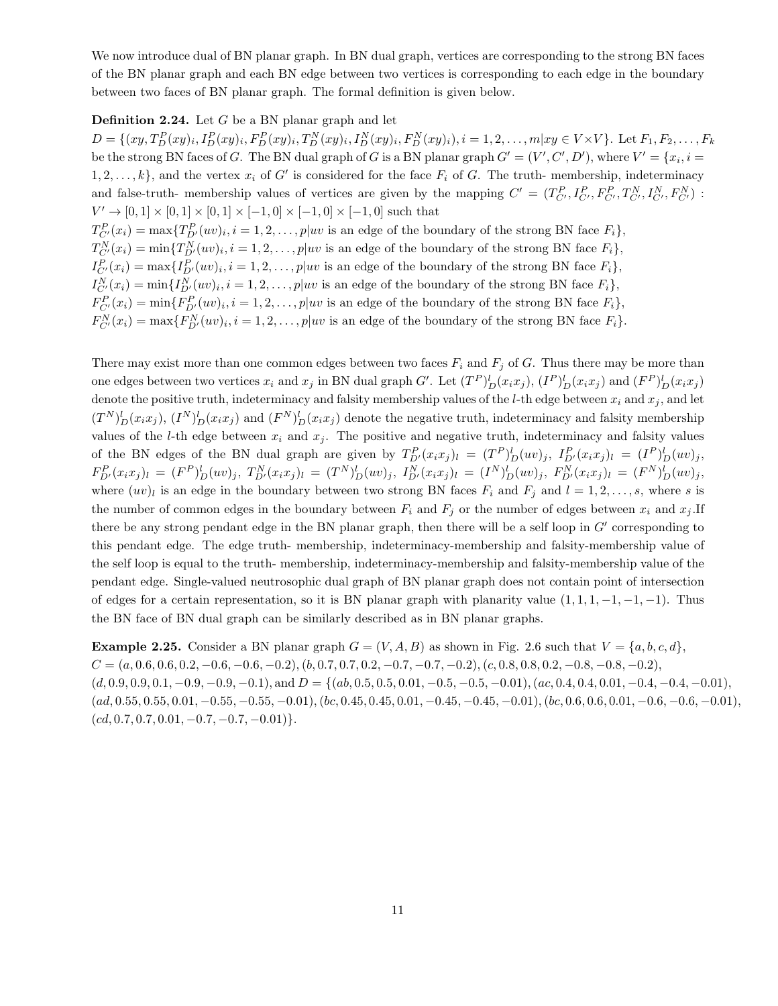We now introduce dual of BN planar graph. In BN dual graph, vertices are corresponding to the strong BN faces of the BN planar graph and each BN edge between two vertices is corresponding to each edge in the boundary between two faces of BN planar graph. The formal definition is given below.

#### **Definition 2.24.** Let  $G$  be a BN planar graph and let

 $D = \{(xy, T_D^P(xy)_i, I_D^P(xy)_i, F_D^P(xy)_i, T_D^N(xy)_i, I_D^N(xy)_i, F_D^N(xy)_i), i = 1, 2, ..., m|xy \in V \times V\}.$  Let  $F_1, F_2, ..., F_k$ be the strong BN faces of G. The BN dual graph of G is a BN planar graph  $G' = (V', C', D')$ , where  $V' = \{x_i, i =$  $1, 2, \ldots, k$ , and the vertex  $x_i$  of G' is considered for the face  $F_i$  of G. The truth-membership, indeterminacy and false-truth- membership values of vertices are given by the mapping  $C' = (T_{C'}^P, I_{C'}^P, F_{C'}^P, T_{C'}^N, I_{C'}^N, F_{C'}^N)$ :  $V' \to [0,1] \times [0,1] \times [0,1] \times [-1,0] \times [-1,0] \times [-1,0]$  such that  $T_{C'}^P(x_i) = \max\{T_{D'}^P(uv)_i, i = 1, 2, \ldots, p|uv$  is an edge of the boundary of the strong BN face  $F_i\},$  $T_{C'}^N(x_i) = \min\{T_{D'}^N(uv)_i, i = 1, 2, \ldots, p|uv$  is an edge of the boundary of the strong BN face  $F_i\},$  $I_{C'}^P(x_i) = \max\{I_{D'}^P(uv)_i, i = 1, 2, \ldots, p|uv \text{ is an edge of the boundary of the strong BN face } F_i\},\$  $I_{C'}^N(x_i) = \min\{I_{D'}^N(uv)_i, i = 1, 2, \ldots, p|uv$  is an edge of the boundary of the strong BN face  $F_i\},\$  $F_{C'}^P(x_i) = \min\{F_{D'}^P(uv)_i, i = 1, 2, \ldots, p|uv \text{ is an edge of the boundary of the strong BN face } F_i\},\$  $F_{C'}^N(x_i) = \max\{F_{D'}^N(uv)_i, i = 1, 2, \ldots, p|uv$  is an edge of the boundary of the strong BN face  $F_i\}.$ 

There may exist more than one common edges between two faces  $F_i$  and  $F_j$  of G. Thus there may be more than one edges between two vertices  $x_i$  and  $x_j$  in BN dual graph G'. Let  $(T^P)^l_D(x_ix_j)$ ,  $(I^P)^l_D(x_ix_j)$  and  $(F^P)^l_D(x_ix_j)$ denote the positive truth, indeterminacy and falsity membership values of the *l*-th edge between  $x_i$  and  $x_j$ , and let  $(T^N)^l_D(x_ix_j)$ ,  $(I^N)^l_D(x_ix_j)$  and  $(F^N)^l_D(x_ix_j)$  denote the negative truth, indeterminacy and falsity membership values of the *l*-th edge between  $x_i$  and  $x_j$ . The positive and negative truth, indeterminacy and falsity values of the BN edges of the BN dual graph are given by  $T_{D'}^P(x_ix_j)_l = (T_P)^l_D(uv)_j$ ,  $I_{D'}^P(x_ix_j)_l = (I_P)^l_D(uv)_j$ ,  $F_{D'}^P(x_ix_j)_l = (F^P)^l_D(uv)_j, T_{D'}^N(x_ix_j)_l = (T^N)^l_D(uv)_j, I_{D'}^N(x_ix_j)_l = (I^N)^l_D(uv)_j, F_{D'}^N(x_ix_j)_l = (F^N)^l_D(uv)_j,$ where  $(uv)_l$  is an edge in the boundary between two strong BN faces  $F_i$  and  $F_j$  and  $l = 1, 2, \ldots, s$ , where s is the number of common edges in the boundary between  $F_i$  and  $F_j$  or the number of edges between  $x_i$  and  $x_j$ . If there be any strong pendant edge in the BN planar graph, then there will be a self loop in  $G'$  corresponding to this pendant edge. The edge truth- membership, indeterminacy-membership and falsity-membership value of the self loop is equal to the truth- membership, indeterminacy-membership and falsity-membership value of the pendant edge. Single-valued neutrosophic dual graph of BN planar graph does not contain point of intersection of edges for a certain representation, so it is BN planar graph with planarity value  $(1, 1, 1, -1, -1, -1)$ . Thus the BN face of BN dual graph can be similarly described as in BN planar graphs.

**Example 2.25.** Consider a BN planar graph  $G = (V, A, B)$  as shown in Fig. 2.6 such that  $V = \{a, b, c, d\}$ ,  $C = (a, 0.6, 0.6, 0.2, -0.6, -0.6, -0.2), (b, 0.7, 0.7, 0.2, -0.7, -0.7, -0.2), (c, 0.8, 0.8, 0.2, -0.8, -0.8, -0.2),$  $(d, 0.9, 0.9, 0.1, -0.9, -0.9, -0.1)$ , and  $D = \{(ab, 0.5, 0.5, 0.01, -0.5, -0.5, -0.01), (ac, 0.4, 0.4, 0.01, -0.4, -0.4, -0.01),$  $(ad, 0.55, 0.55, 0.01, -0.55, -0.55, -0.01), (bc, 0.45, 0.45, 0.01, -0.45, -0.45, -0.01), (bc, 0.6, 0.6, 0.01, -0.6, -0.6, -0.01),$  $(cd, 0.7, 0.7, 0.01, -0.7, -0.7, -0.01)\}.$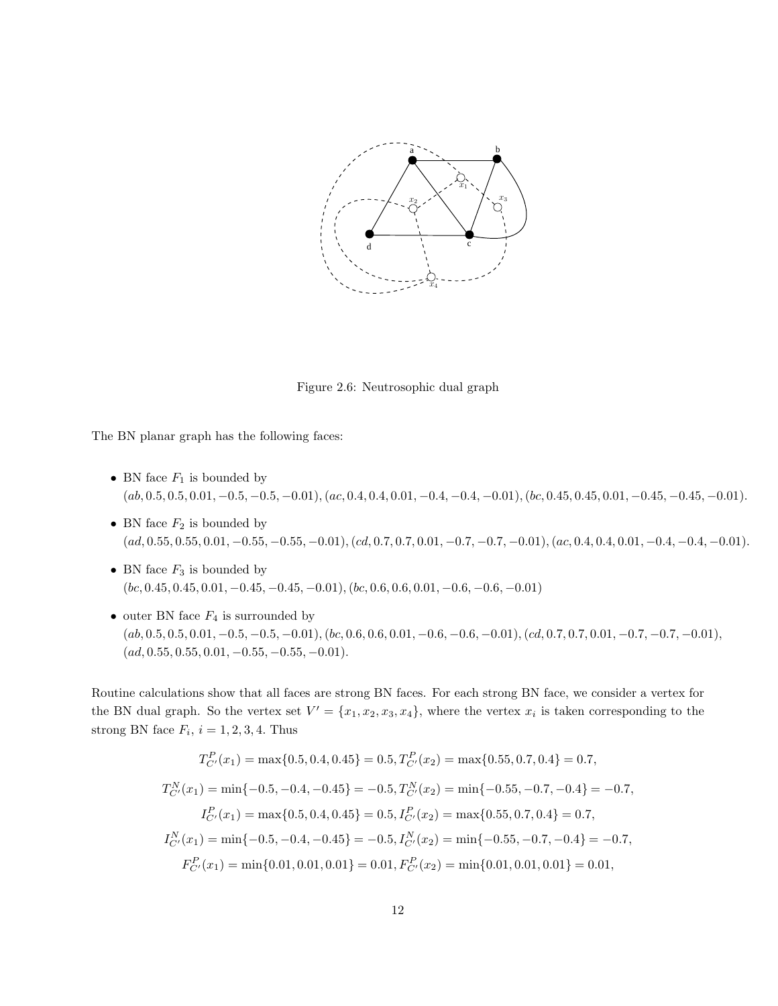

Figure 2.6: Neutrosophic dual graph

The BN planar graph has the following faces:

- BN face  $F_1$  is bounded by  $(a, 0.5, 0.5, 0.01, -0.5, -0.5, -0.01), (ac, 0.4, 0.4, 0.01, -0.4, -0.4, -0.01), (bc, 0.45, 0.45, 0.01, -0.45, -0.45, -0.01).$
- BN face  $F_2$  is bounded by  $(ad, 0.55, 0.55, 0.01, -0.55, -0.55, -0.01), (cd, 0.7, 0.7, 0.01, -0.7, -0.7, -0.01), (ac, 0.4, 0.4, 0.01, -0.4, -0.4, -0.01).$
- BN face  $F_3$  is bounded by  $(bc, 0.45, 0.45, 0.01, -0.45, -0.45, -0.01), (bc, 0.6, 0.6, 0.01, -0.6, -0.6, -0.01)$
- outer BN face  $F_4$  is surrounded by  $(a, 0.5, 0.5, 0.01, -0.5, -0.5, -0.01), (bc, 0.6, 0.6, 0.01, -0.6, -0.6, -0.01), (cd, 0.7, 0.7, 0.01, -0.7, -0.7, -0.01),$  $(ad, 0.55, 0.55, 0.01, -0.55, -0.55, -0.01).$

Routine calculations show that all faces are strong BN faces. For each strong BN face, we consider a vertex for the BN dual graph. So the vertex set  $V' = \{x_1, x_2, x_3, x_4\}$ , where the vertex  $x_i$  is taken corresponding to the strong BN face  $F_i$ ,  $i = 1, 2, 3, 4$ . Thus

$$
T_{C'}^{P}(x_1) = \max\{0.5, 0.4, 0.45\} = 0.5, T_{C'}^{P}(x_2) = \max\{0.55, 0.7, 0.4\} = 0.7,
$$
  
\n
$$
T_{C'}^{N}(x_1) = \min\{-0.5, -0.4, -0.45\} = -0.5, T_{C'}^{N}(x_2) = \min\{-0.55, -0.7, -0.4\} = -0.7,
$$
  
\n
$$
I_{C'}^{P}(x_1) = \max\{0.5, 0.4, 0.45\} = 0.5, I_{C'}^{P}(x_2) = \max\{0.55, 0.7, 0.4\} = 0.7,
$$
  
\n
$$
I_{C'}^{N}(x_1) = \min\{-0.5, -0.4, -0.45\} = -0.5, I_{C'}^{N}(x_2) = \min\{-0.55, -0.7, -0.4\} = -0.7,
$$
  
\n
$$
F_{C'}^{P}(x_1) = \min\{0.01, 0.01, 0.01\} = 0.01, F_{C'}^{P}(x_2) = \min\{0.01, 0.01, 0.01\} = 0.01,
$$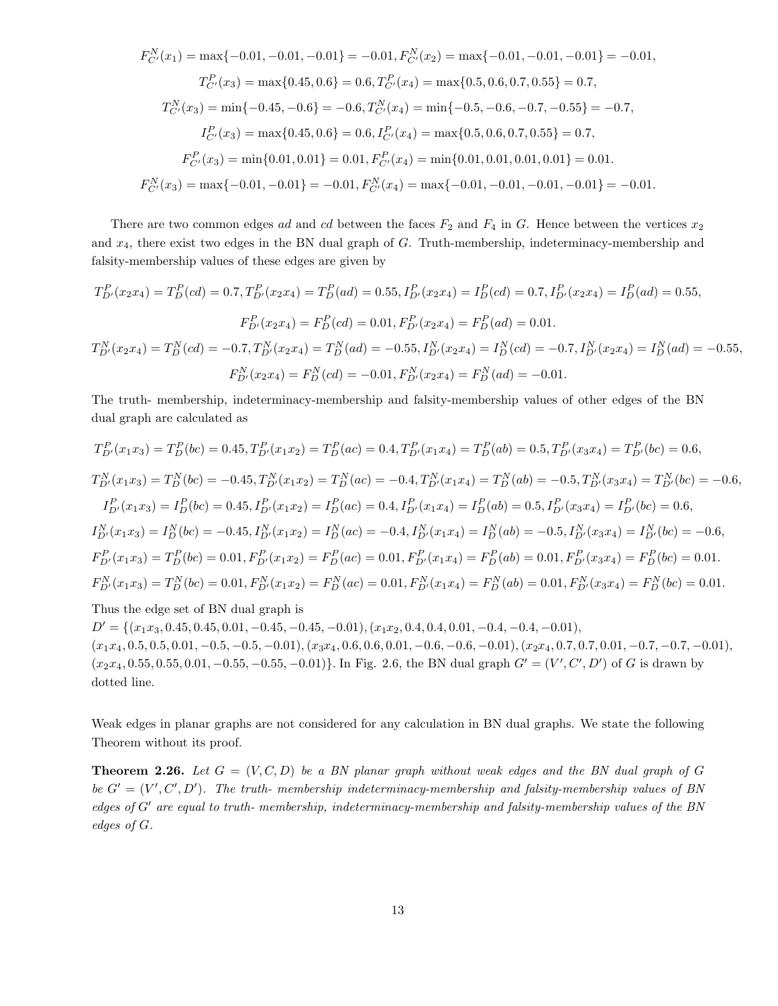$$
F_{C'}^{N}(x_1) = \max\{-0.01, -0.01, -0.01\} = -0.01, F_{C'}^{N}(x_2) = \max\{-0.01, -0.01, -0.01\} = -0.01,
$$
  
\n
$$
T_{C'}^{P}(x_3) = \max\{0.45, 0.6\} = 0.6, T_{C'}^{P}(x_4) = \max\{0.5, 0.6, 0.7, 0.55\} = 0.7,
$$
  
\n
$$
T_{C'}^{N}(x_3) = \min\{-0.45, -0.6\} = -0.6, T_{C'}^{N}(x_4) = \min\{-0.5, -0.6, -0.7, -0.55\} = -0.7,
$$
  
\n
$$
I_{C'}^{P}(x_3) = \max\{0.45, 0.6\} = 0.6, I_{C'}^{P}(x_4) = \max\{0.5, 0.6, 0.7, 0.55\} = 0.7,
$$
  
\n
$$
F_{C'}^{P}(x_3) = \min\{0.01, 0.01\} = 0.01, F_{C'}^{P}(x_4) = \min\{0.01, 0.01, 0.01, 0.01\} = 0.01.
$$
  
\n
$$
F_{C'}^{N}(x_3) = \max\{-0.01, -0.01\} = -0.01, F_{C'}^{N}(x_4) = \max\{-0.01, -0.01, -0.01, -0.01\} = -0.01.
$$

There are two common edges ad and cd between the faces  $F_2$  and  $F_4$  in G. Hence between the vertices  $x_2$ and  $x_4$ , there exist two edges in the BN dual graph of G. Truth-membership, indeterminacy-membership and falsity-membership values of these edges are given by

$$
T_{D'}^P(x_2x_4) = T_D^P(cd) = 0.7, T_{D'}^P(x_2x_4) = T_D^P(ad) = 0.55, I_{D'}^P(x_2x_4) = I_D^P(cd) = 0.7, I_{D'}^P(x_2x_4) = I_D^P(ad) = 0.55,
$$
  
\n
$$
F_{D'}^P(x_2x_4) = F_D^P(cd) = 0.01, F_{D'}^P(x_2x_4) = F_D^P(ad) = 0.01.
$$
  
\n
$$
T_{D'}^N(x_2x_4) = T_D^N(cd) = -0.7, T_{D'}^N(x_2x_4) = T_D^N(ad) = -0.55, I_{D'}^N(x_2x_4) = I_D^N(cd) = -0.7, I_{D'}^N(x_2x_4) = I_D^N(ad) = -0.55,
$$
  
\n
$$
F_{D'}^N(x_2x_4) = F_D^N(cd) = -0.01, F_{D'}^N(x_2x_4) = F_D^N(ad) = -0.01.
$$

The truth- membership, indeterminacy-membership and falsity-membership values of other edges of the BN dual graph are calculated as

$$
T_{D'}^{P}(x_1x_3) = T_{D}^{P}(bc) = 0.45, T_{D'}^{P}(x_1x_2) = T_{D}^{P}(ac) = 0.4, T_{D'}^{P}(x_1x_4) = T_{D}^{P}(ab) = 0.5, T_{D'}^{P}(x_3x_4) = T_{D'}^{P}(bc) = 0.6,
$$
  
\n
$$
T_{D'}^{N}(x_1x_3) = T_{D}^{N}(bc) = -0.45, T_{D'}^{N}(x_1x_2) = T_{D}^{N}(ac) = -0.4, T_{D'}^{N}(x_1x_4) = T_{D}^{N}(ab) = -0.5, T_{D'}^{N}(x_3x_4) = T_{D'}^{N}(bc) = -0.6,
$$
  
\n
$$
I_{D'}^{P}(x_1x_3) = I_{D}^{P}(bc) = 0.45, I_{D'}^{P}(x_1x_2) = I_{D}^{P}(ac) = 0.4, I_{D'}^{P}(x_1x_4) = I_{D}^{P}(ab) = 0.5, I_{D'}^{P}(x_3x_4) = I_{D'}^{P}(bc) = 0.6,
$$
  
\n
$$
I_{D'}^{N}(x_1x_3) = I_{D}^{N}(bc) = -0.45, I_{D'}^{N}(x_1x_2) = I_{D}^{N}(ac) = -0.4, I_{D'}^{N}(x_1x_4) = I_{D}^{N}(ab) = -0.5, I_{D'}^{N}(x_3x_4) = I_{D'}^{N}(bc) = -0.6,
$$
  
\n
$$
F_{D'}^{P}(x_1x_3) = T_{D}^{P}(bc) = 0.01, F_{D'}^{P}(x_1x_2) = F_{D}^{P}(ac) = 0.01, F_{D'}^{P}(x_1x_4) = F_{D}^{P}(ab) = 0.01, F_{D'}^{P}(x_3x_4) = F_{D}^{P}(bc) = 0.01.
$$
  
\n
$$
F_{D'}^{N}(x_1x_3) = T_{D}^{N}(bc) = 0.01, F_{D'}^{N}(x_1x_2) = F_{D}^{N}(ac) = 0.01, F_{D'}^{N}(x_1x_4) = F_{D}^{N}(ab) = 0.01, F_{D
$$

 $D' = \{(x_1x_3, 0.45, 0.45, 0.01, -0.45, -0.45, -0.01), (x_1x_2, 0.4, 0.4, 0.01, -0.4, -0.4, -0.01),$  $(x_1x_4, 0.5, 0.5, 0.01, -0.5, -0.5, -0.01), (x_3x_4, 0.6, 0.6, 0.01, -0.6, -0.6, -0.01), (x_2x_4, 0.7, 0.7, 0.01, -0.7, -0.7, -0.01),$  $(x_2x_4, 0.55, 0.55, 0.01, -0.55, -0.55, -0.01)$ . In Fig. 2.6, the BN dual graph  $G' = (V', C', D')$  of G is drawn by dotted line.

Weak edges in planar graphs are not considered for any calculation in BN dual graphs. We state the following Theorem without its proof.

**Theorem 2.26.** Let  $G = (V, C, D)$  be a BN planar graph without weak edges and the BN dual graph of G be  $G' = (V', C', D')$ . The truth-membership indeterminacy-membership and falsity-membership values of BN edges of G′ are equal to truth- membership, indeterminacy-membership and falsity-membership values of the BN edges of G.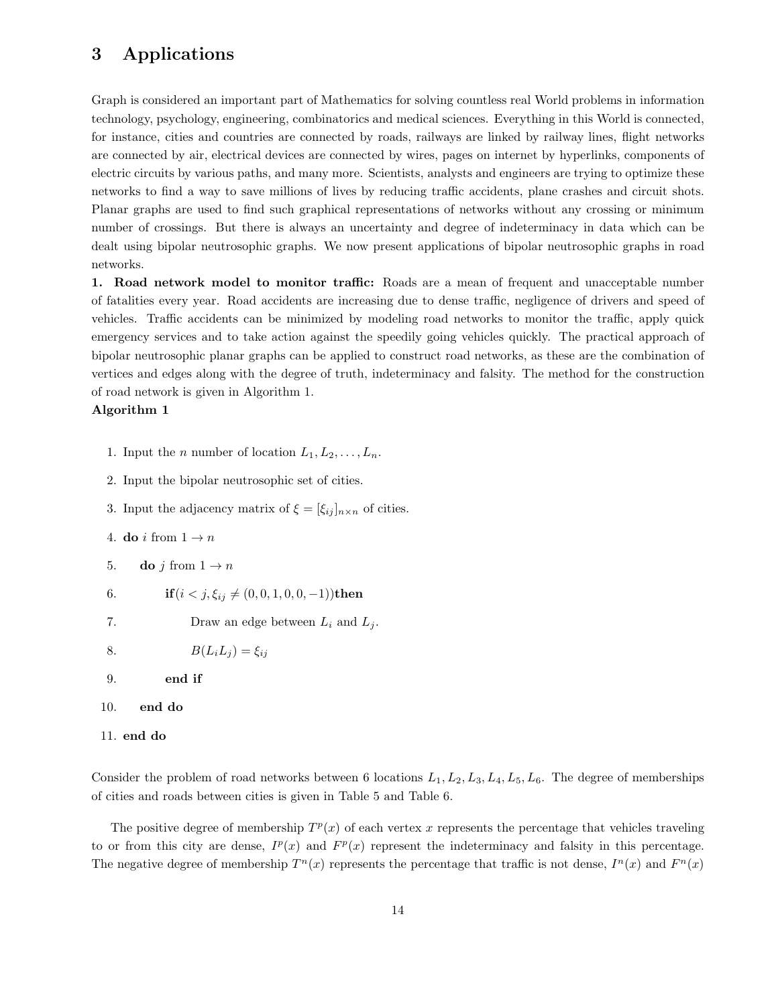## 3 Applications

Graph is considered an important part of Mathematics for solving countless real World problems in information technology, psychology, engineering, combinatorics and medical sciences. Everything in this World is connected, for instance, cities and countries are connected by roads, railways are linked by railway lines, flight networks are connected by air, electrical devices are connected by wires, pages on internet by hyperlinks, components of electric circuits by various paths, and many more. Scientists, analysts and engineers are trying to optimize these networks to find a way to save millions of lives by reducing traffic accidents, plane crashes and circuit shots. Planar graphs are used to find such graphical representations of networks without any crossing or minimum number of crossings. But there is always an uncertainty and degree of indeterminacy in data which can be dealt using bipolar neutrosophic graphs. We now present applications of bipolar neutrosophic graphs in road networks.

1. Road network model to monitor traffic: Roads are a mean of frequent and unacceptable number of fatalities every year. Road accidents are increasing due to dense traffic, negligence of drivers and speed of vehicles. Traffic accidents can be minimized by modeling road networks to monitor the traffic, apply quick emergency services and to take action against the speedily going vehicles quickly. The practical approach of bipolar neutrosophic planar graphs can be applied to construct road networks, as these are the combination of vertices and edges along with the degree of truth, indeterminacy and falsity. The method for the construction of road network is given in Algorithm 1.

#### Algorithm 1

- 1. Input the *n* number of location  $L_1, L_2, \ldots, L_n$ .
- 2. Input the bipolar neutrosophic set of cities.
- 3. Input the adjacency matrix of  $\xi = [\xi_{ij}]_{n \times n}$  of cities.
- 4. do *i* from  $1 \rightarrow n$
- 5. do j from  $1 \rightarrow n$
- 6. if  $(i < j, \xi_{ij} \neq (0, 0, 1, 0, 0, -1))$ then
- 7. Draw an edge between  $L_i$  and  $L_j$ .
- 8.  $B(L_iL_j) = \xi_{ij}$
- 9. end if
- 10. end do
- 11. end do

Consider the problem of road networks between 6 locations  $L_1, L_2, L_3, L_4, L_5, L_6$ . The degree of memberships of cities and roads between cities is given in Table 5 and Table 6.

The positive degree of membership  $T^p(x)$  of each vertex x represents the percentage that vehicles traveling to or from this city are dense,  $I^p(x)$  and  $F^p(x)$  represent the indeterminacy and falsity in this percentage. The negative degree of membership  $T^n(x)$  represents the percentage that traffic is not dense,  $I^n(x)$  and  $F^n(x)$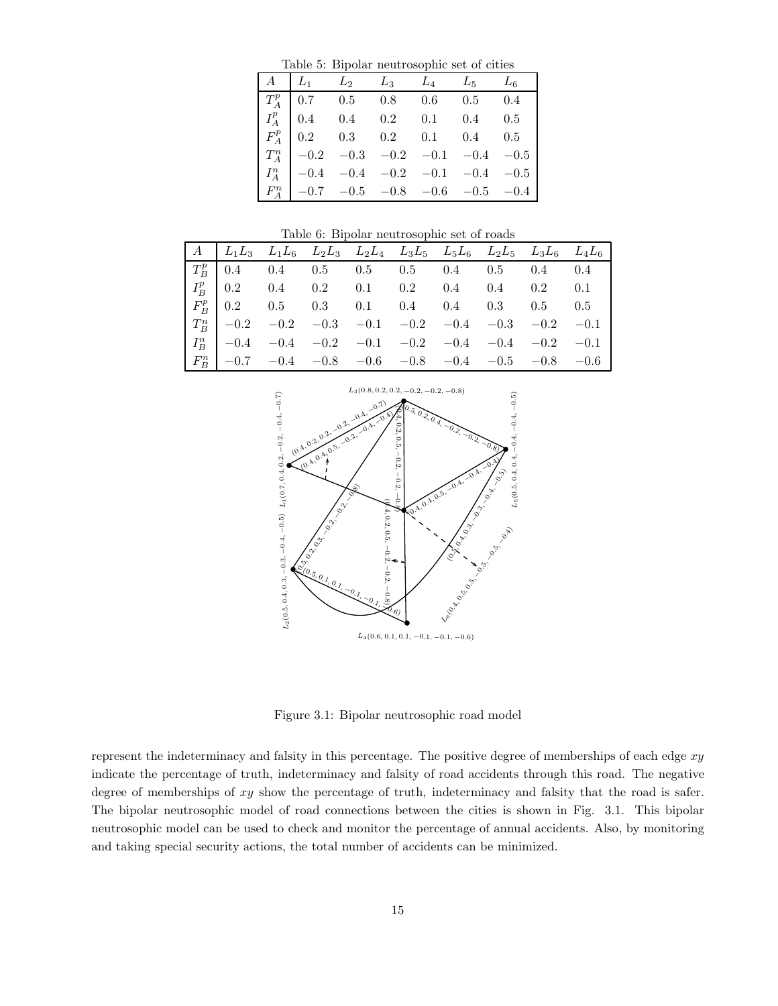Table 5: Bipolar neutrosophic set of cities

| $A \mid L_1 \quad L_2 \quad L_3 \quad L_4 \quad L_5 \quad L_6$                                       |  |  |  |
|------------------------------------------------------------------------------------------------------|--|--|--|
| $T_A^p$ 0.7 0.5 0.8 0.6 0.5 0.4                                                                      |  |  |  |
| $\begin{array}{ c c c c c c } \hline I_A^p & 0.4 & 0.4 & 0.2 & 0.1 & 0.4 & 0.5 \ \hline \end{array}$ |  |  |  |
| $F_A^p$ 0.2 0.3 0.2 0.1 0.4 0.5                                                                      |  |  |  |
| $T_A^n$ -0.2 -0.3 -0.2 -0.1 -0.4 -0.5                                                                |  |  |  |
| $\begin{vmatrix} I_A^n \\ I_A^n \end{vmatrix}$ -0.4 -0.4 -0.2 -0.1 -0.4 -0.5                         |  |  |  |
| $\begin{vmatrix} F_A^n & -0.7 & -0.5 & -0.8 & -0.6 & -0.5 & -0.4 \end{vmatrix}$                      |  |  |  |

Table 6: Bipolar neutrosophic set of roads

|  |  |  | $A \begin{bmatrix} L_1L_3 & L_1L_6 & L_2L_3 & L_2L_4 & L_3L_5 & L_5L_6 & L_2L_5 & L_3L_6 & L_4L_6 \end{bmatrix}$                                                                                                                                                                    |  |  |
|--|--|--|-------------------------------------------------------------------------------------------------------------------------------------------------------------------------------------------------------------------------------------------------------------------------------------|--|--|
|  |  |  | $\begin{array}{ c ccccccccccc }\hline T^p_B & 0.4 & 0.4 & 0.5 & 0.5 & 0.5 & 0.4 & 0.5 & 0.4 & 0.4 \ \hline I^p_B & 0.2 & 0.4 & 0.2 & 0.1 & 0.2 & 0.4 & 0.4 & 0.2 & 0.1 \ \hline \end{array}$                                                                                        |  |  |
|  |  |  |                                                                                                                                                                                                                                                                                     |  |  |
|  |  |  | $\begin{array}{ l ccccccccccccccc }\hline F^p_B & 0.2 & 0.5 & 0.3 & 0.1 & 0.4 & 0.4 & 0.3 & 0.5 & 0.5 \\ \hline T^n_B & -0.2 & -0.2 & -0.3 & -0.1 & -0.2 & -0.4 & -0.3 & -0.2 & -0.1 \\ I^n_B & -0.4 & -0.4 & -0.2 & -0.1 & -0.2 & -0.4 & -0.4 & -0.2 & -0.1 \\ \hline \end{array}$ |  |  |
|  |  |  |                                                                                                                                                                                                                                                                                     |  |  |
|  |  |  |                                                                                                                                                                                                                                                                                     |  |  |
|  |  |  | $\left  F_R^n \right $ -0.7 -0.4 -0.8 -0.6 -0.8 -0.4 -0.5 -0.8 -0.6                                                                                                                                                                                                                 |  |  |



Figure 3.1: Bipolar neutrosophic road model

represent the indeterminacy and falsity in this percentage. The positive degree of memberships of each edge  $xy$ indicate the percentage of truth, indeterminacy and falsity of road accidents through this road. The negative degree of memberships of xy show the percentage of truth, indeterminacy and falsity that the road is safer. The bipolar neutrosophic model of road connections between the cities is shown in Fig. 3.1. This bipolar neutrosophic model can be used to check and monitor the percentage of annual accidents. Also, by monitoring and taking special security actions, the total number of accidents can be minimized.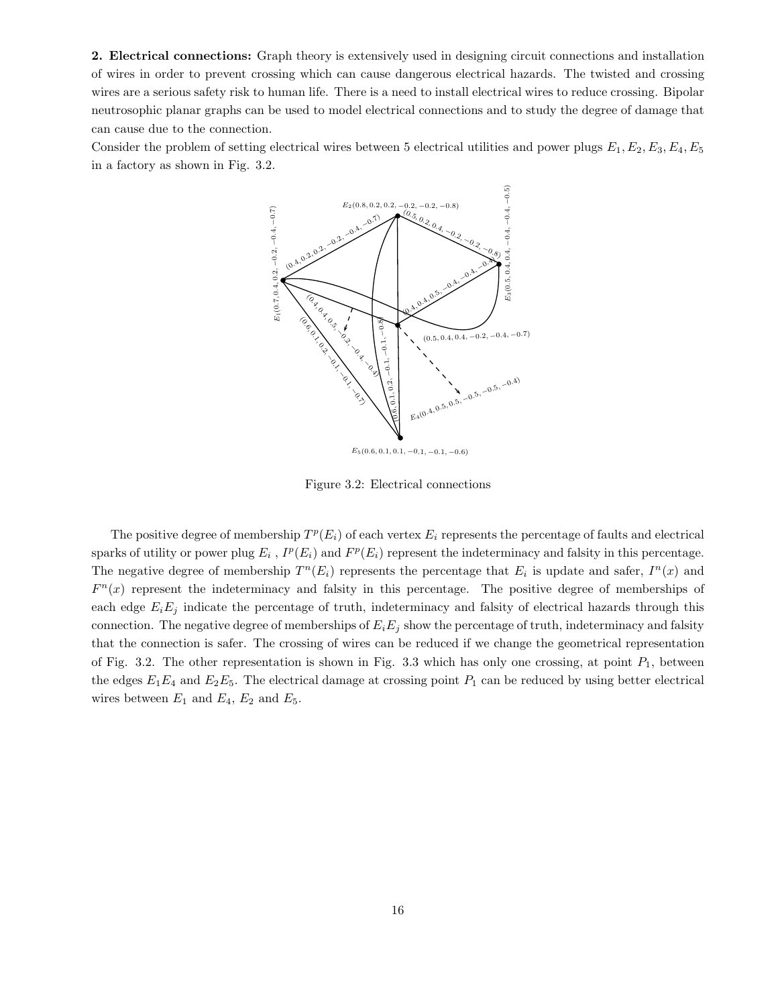2. Electrical connections: Graph theory is extensively used in designing circuit connections and installation of wires in order to prevent crossing which can cause dangerous electrical hazards. The twisted and crossing wires are a serious safety risk to human life. There is a need to install electrical wires to reduce crossing. Bipolar neutrosophic planar graphs can be used to model electrical connections and to study the degree of damage that can cause due to the connection.

Consider the problem of setting electrical wires between 5 electrical utilities and power plugs  $E_1, E_2, E_3, E_4, E_5$ in a factory as shown in Fig. 3.2.



Figure 3.2: Electrical connections

The positive degree of membership  $T^p(E_i)$  of each vertex  $E_i$  represents the percentage of faults and electrical sparks of utility or power plug  $E_i$ ,  $I^p(E_i)$  and  $F^p(E_i)$  represent the indeterminacy and falsity in this percentage. The negative degree of membership  $T^n(E_i)$  represents the percentage that  $E_i$  is update and safer,  $I^n(x)$  and  $F<sup>n</sup>(x)$  represent the indeterminacy and falsity in this percentage. The positive degree of memberships of each edge  $E_iE_j$  indicate the percentage of truth, indeterminacy and falsity of electrical hazards through this connection. The negative degree of memberships of  $E_iE_j$  show the percentage of truth, indeterminacy and falsity that the connection is safer. The crossing of wires can be reduced if we change the geometrical representation of Fig. 3.2. The other representation is shown in Fig. 3.3 which has only one crossing, at point  $P_1$ , between the edges  $E_1E_4$  and  $E_2E_5$ . The electrical damage at crossing point  $P_1$  can be reduced by using better electrical wires between  $E_1$  and  $E_4$ ,  $E_2$  and  $E_5$ .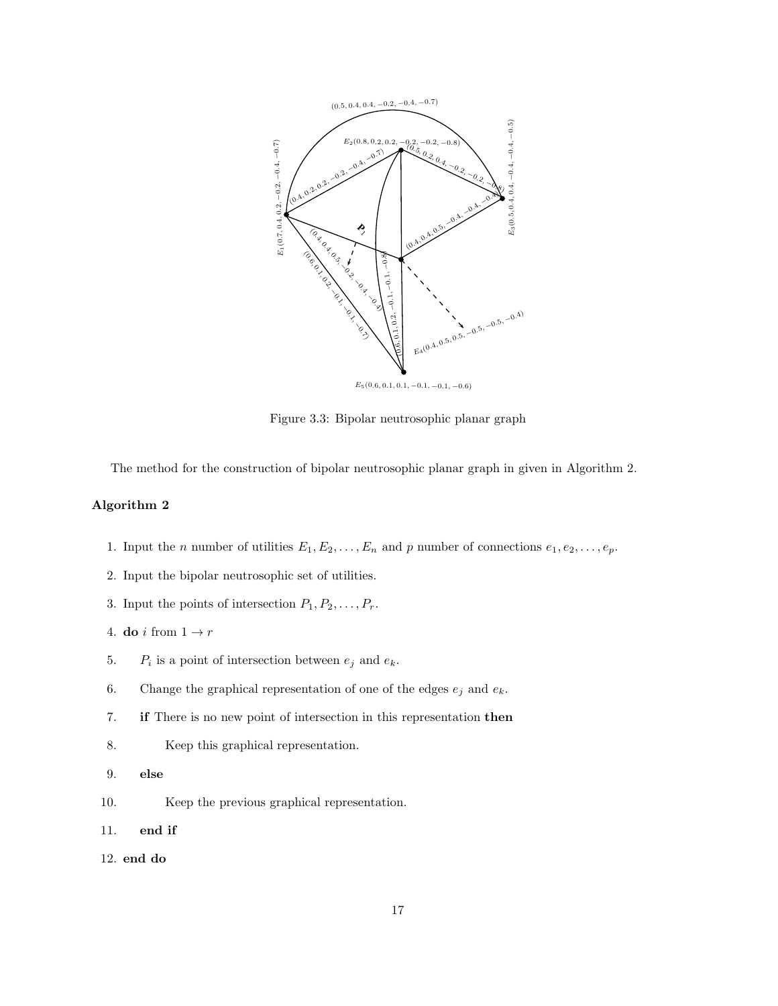

Figure 3.3: Bipolar neutrosophic planar graph

The method for the construction of bipolar neutrosophic planar graph in given in Algorithm 2.

### Algorithm 2

- 1. Input the *n* number of utilities  $E_1, E_2, \ldots, E_n$  and *p* number of connections  $e_1, e_2, \ldots, e_p$ .
- 2. Input the bipolar neutrosophic set of utilities.
- 3. Input the points of intersection  $P_1, P_2, \ldots, P_r$ .
- 4. do i from  $1 \rightarrow r$
- 5.  $P_i$  is a point of intersection between  $e_j$  and  $e_k$ .
- 6. Change the graphical representation of one of the edges  $e_j$  and  $e_k$ .
- 7. if There is no new point of intersection in this representation then
- 8. Keep this graphical representation.
- 9. else
- 10. Keep the previous graphical representation.
- 11. end if
- 12. end do